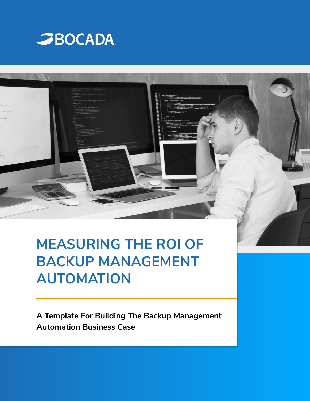

# **MEASURING THE ROI OF BACKUP MANAGEMENT AUTOMATION**

**A Template For Building The Backup Management Automation Business Case**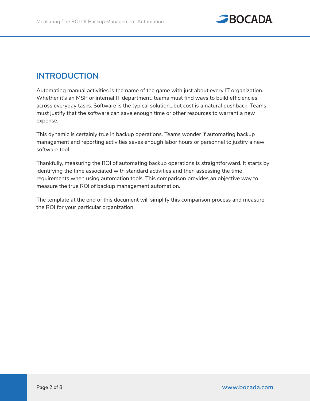

# **INTRODUCTION**

Automating manual activities is the name of the game with just about every IT organization. Whether it's an MSP or internal IT department, teams must find ways to build efficiencies across everyday tasks. Software is the typical solution...but cost is a natural pushback. Teams must justify that the software can save enough time or other resources to warrant a new expense.

This dynamic is certainly true in backup operations. Teams wonder if automating backup management and reporting activities saves enough labor hours or personnel to justify a new software tool.

Thankfully, measuring the ROI of automating backup operations is straightforward. It starts by identifying the time associated with standard activities and then assessing the time requirements when using automation tools. This comparison provides an objective way to measure the true ROI of backup management automation.

The template at the end of this document will simplify this comparison process and measure the ROI for your particular organization.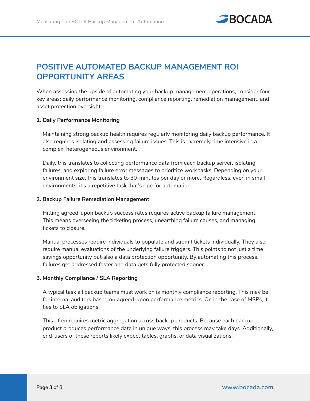

# **POSITIVE AUTOMATED BACKUP MANAGEMENT ROI OPPORTUNITY AREAS**

When assessing the upside of automating your backup management operations, consider four key areas: daily performance monitoring, compliance reporting, remediation management, and asset protection oversight.

#### **1. Daily Performance Monitoring**

Maintaining strong backup health requires regularly monitoring daily backup performance. It also requires isolating and assessing failure issues. This is extremely time intensive in a complex, heterogeneous environment.

Daily, this translates to collecting performance data from each backup server, isolating failures, and exploring failure error messages to prioritize work tasks. Depending on your environment size, this translates to 30-minutes per day or more. Regardless, even in small environments, it's a repetitive task that's ripe for automation.

#### **2. Backup Failure Remediation Management**

Hitting agreed-upon backup success rates requires active backup failure management. This means overseeing the ticketing process, unearthing failure causes, and managing tickets to closure.

Manual processes require individuals to populate and submit tickets individually. They also require manual evaluations of the underlying failure triggers. This points to not just a time savings opportunity but also a data protection opportunity. By automating this process, failures get addressed faster and data gets fully protected sooner.

#### **3. Monthly Compliance / SLA Reporting**

A typical task all backup teams must work on is monthly compliance reporting. This may be for internal auditors based on agreed-upon performance metrics. Or, in the case of MSPs, it ties to SLA obligations.

This often requires metric aggregation across backup products. Because each backup product produces performance data in unique ways, this process may take days. Additionally, end-users of these reports likely expect tables, graphs, or data visualizations.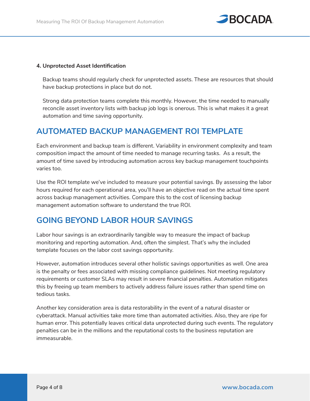

#### **4. Unprotected Asset Identification**

Backup teams should regularly check for unprotected assets. These are resources that should have backup protections in place but do not.

Strong data protection teams complete this monthly. However, the time needed to manually reconcile asset inventory lists with backup job logs is onerous. This is what makes it a great automation and time saving opportunity.

# **AUTOMATED BACKUP MANAGEMENT ROI TEMPLATE**

Each environment and backup team is different. Variability in environment complexity and team composition impact the amount of time needed to manage recurring tasks. As a result, the amount of time saved by introducing automation across key backup management touchpoints varies too.

Use the ROI template we've included to measure your potential savings. By assessing the labor hours required for each operational area, you'll have an objective read on the actual time spent across backup management activities. Compare this to the cost of licensing backup management automation software to understand the true ROI.

# **GOING BEYOND LABOR HOUR SAVINGS**

Labor hour savings is an extraordinarily tangible way to measure the impact of backup monitoring and reporting automation. And, often the simplest. That's why the included template focuses on the labor cost savings opportunity.

However, automation introduces several other holistic savings opportunities as well. One area is the penalty or fees associated with missing compliance guidelines. Not meeting regulatory requirements or customer SLAs may result in severe financial penalties. Automation mitigates this by freeing up team members to actively address failure issues rather than spend time on tedious tasks.

Another key consideration area is data restorability in the event of a natural disaster or cyberattack. Manual activities take more time than automated activities. Also, they are ripe for human error. This potentially leaves critical data unprotected during such events. The regulatory penalties can be in the millions and the reputational costs to the business reputation are immeasurable.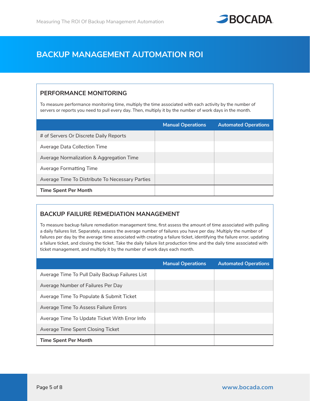

# **BACKUP MANAGEMENT AUTOMATION ROI**

## **PERFORMANCE MONITORING**

To measure performance monitoring time, multiply the time associated with each activity by the number of servers or reports you need to pull every day. Then, multiply it by the number of work days in the month.

|                                                 | <b>Manual Operations</b> | <b>Automated Operations</b> |
|-------------------------------------------------|--------------------------|-----------------------------|
| # of Servers Or Discrete Daily Reports          |                          |                             |
| Average Data Collection Time                    |                          |                             |
| Average Normalization & Aggregation Time        |                          |                             |
| <b>Average Formatting Time</b>                  |                          |                             |
| Average Time To Distribute To Necessary Parties |                          |                             |
| <b>Time Spent Per Month</b>                     |                          |                             |

## **BACKUP FAILURE REMEDIATION MANAGEMENT**

To measure backup failure remediation management time, first assess the amount of time associated with pulling a daily failures list. Separately, assess the average number of failures you have per day. Multiply the number of failures per day by the average time associated with creating a failure ticket, identifying the failure error, updating a failure ticket, and closing the ticket. Take the daily failure list production time and the daily time associated with ticket management, and multiply it by the number of work days each month.

|                                                 | <b>Manual Operations</b> | <b>Automated Operations</b> |
|-------------------------------------------------|--------------------------|-----------------------------|
| Average Time To Pull Daily Backup Failures List |                          |                             |
| Average Number of Failures Per Day              |                          |                             |
| Average Time To Populate & Submit Ticket        |                          |                             |
| Average Time To Assess Failure Errors           |                          |                             |
| Average Time To Update Ticket With Error Info   |                          |                             |
| Average Time Spent Closing Ticket               |                          |                             |
| <b>Time Spent Per Month</b>                     |                          |                             |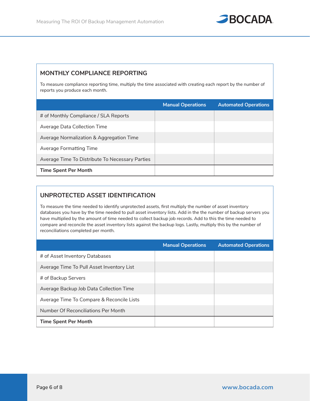

## **MONTHLY COMPLIANCE REPORTING**

To measure compliance reporting time, multiply the time associated with creating each report by the number of reports you produce each month.

|                                                 | <b>Manual Operations</b> | <b>Automated Operations</b> |
|-------------------------------------------------|--------------------------|-----------------------------|
| # of Monthly Compliance / SLA Reports           |                          |                             |
| Average Data Collection Time                    |                          |                             |
| Average Normalization & Aggregation Time        |                          |                             |
| Average Formatting Time                         |                          |                             |
| Average Time To Distribute To Necessary Parties |                          |                             |
| <b>Time Spent Per Month</b>                     |                          |                             |

## **UNPROTECTED ASSET IDENTIFICATION**

To measure the time needed to identify unprotected assets, first multiply the number of asset inventory databases you have by the time needed to pull asset inventory lists. Add in the the number of backup servers you have multiplied by the amount of time needed to collect backup job records. Add to this the time needed to compare and reconcile the asset inventory lists against the backup logs. Lastly, multiply this by the number of reconciliations completed per month.

|                                           | <b>Manual Operations</b> | <b>Automated Operations</b> |
|-------------------------------------------|--------------------------|-----------------------------|
| # of Asset Inventory Databases            |                          |                             |
| Average Time To Pull Asset Inventory List |                          |                             |
| # of Backup Servers                       |                          |                             |
| Average Backup Job Data Collection Time   |                          |                             |
| Average Time To Compare & Reconcile Lists |                          |                             |
| Number Of Reconciliations Per Month       |                          |                             |
| <b>Time Spent Per Month</b>               |                          |                             |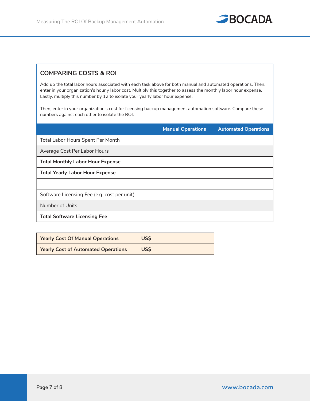

#### **COMPARING COSTS & ROI**

Add up the total labor hours associated with each task above for both manual and automated operations. Then, enter in your organization's hourly labor cost. Multiply this together to assess the monthly labor hour expense. Lastly, multiply this number by 12 to isolate your yearly labor hour expense.

Then, enter in your organization's cost for licensing backup management automation software. Compare these numbers against each other to isolate the ROI.

|                                             | <b>Manual Operations</b> | <b>Automated Operations</b> |
|---------------------------------------------|--------------------------|-----------------------------|
| Total Labor Hours Spent Per Month           |                          |                             |
| Average Cost Per Labor Hours                |                          |                             |
| <b>Total Monthly Labor Hour Expense</b>     |                          |                             |
| <b>Total Yearly Labor Hour Expense</b>      |                          |                             |
|                                             |                          |                             |
| Software Licensing Fee (e.g. cost per unit) |                          |                             |
| Number of Units                             |                          |                             |
| <b>Total Software Licensing Fee</b>         |                          |                             |

| <b>Yearly Cost Of Manual Operations</b>    | US\$ |  |
|--------------------------------------------|------|--|
| <b>Yearly Cost of Automated Operations</b> | US\$ |  |